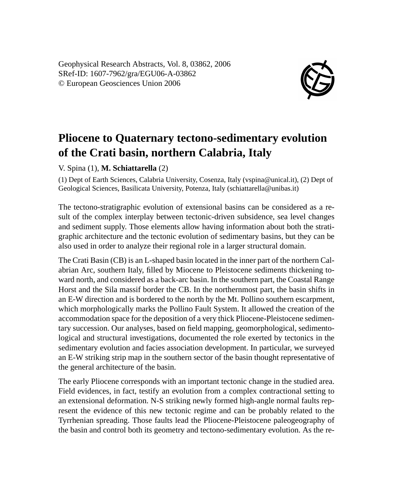Geophysical Research Abstracts, Vol. 8, 03862, 2006 SRef-ID: 1607-7962/gra/EGU06-A-03862 © European Geosciences Union 2006



## **Pliocene to Quaternary tectono-sedimentary evolution of the Crati basin, northern Calabria, Italy**

V. Spina (1), **M. Schiattarella** (2)

(1) Dept of Earth Sciences, Calabria University, Cosenza, Italy (vspina@unical.it), (2) Dept of Geological Sciences, Basilicata University, Potenza, Italy (schiattarella@unibas.it)

The tectono-stratigraphic evolution of extensional basins can be considered as a result of the complex interplay between tectonic-driven subsidence, sea level changes and sediment supply. Those elements allow having information about both the stratigraphic architecture and the tectonic evolution of sedimentary basins, but they can be also used in order to analyze their regional role in a larger structural domain.

The Crati Basin (CB) is an L-shaped basin located in the inner part of the northern Calabrian Arc, southern Italy, filled by Miocene to Pleistocene sediments thickening toward north, and considered as a back-arc basin. In the southern part, the Coastal Range Horst and the Sila massif border the CB. In the northernmost part, the basin shifts in an E-W direction and is bordered to the north by the Mt. Pollino southern escarpment, which morphologically marks the Pollino Fault System. It allowed the creation of the accommodation space for the deposition of a very thick Pliocene-Pleistocene sedimentary succession. Our analyses, based on field mapping, geomorphological, sedimentological and structural investigations, documented the role exerted by tectonics in the sedimentary evolution and facies association development. In particular, we surveyed an E-W striking strip map in the southern sector of the basin thought representative of the general architecture of the basin.

The early Pliocene corresponds with an important tectonic change in the studied area. Field evidences, in fact, testify an evolution from a complex contractional setting to an extensional deformation. N-S striking newly formed high-angle normal faults represent the evidence of this new tectonic regime and can be probably related to the Tyrrhenian spreading. Those faults lead the Pliocene-Pleistocene paleogeography of the basin and control both its geometry and tectono-sedimentary evolution. As the re